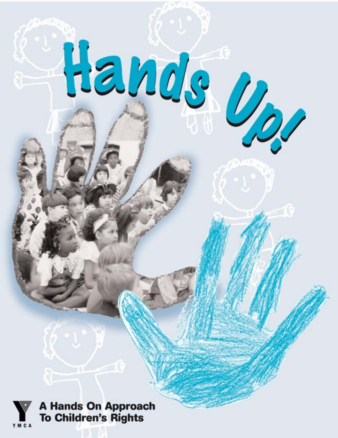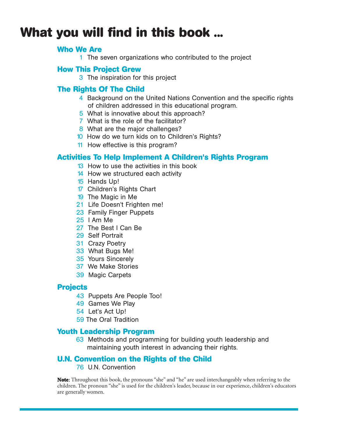# **What you will find in this book ...**

#### **Who We Are**

1 The seven organizations who contributed to the project

### **How This Project Grew**

3 The inspiration for this project

# **The Rights Of The Child**

- 4 Background on the United Nations Convention and the specific rights of children addressed in this educational program.
- 5 What is innovative about this approach?
- 7 What is the role of the facilitator?
- 8 What are the major challenges?
- 10 How do we turn kids on to Children's Rights?
- 11 How effective is this program?

## **Activities To Help Implement A Children's Rights Program**

- 13 How to use the activities in this book
- 14 How we structured each activity
- 15 Hands Up!
- 17 Children's Rights Chart
- 19 The Magic in Me
- 21 Life Doesn't Frighten me!
- 23 Family Finger Puppets
- 25 I Am Me
- 27 The Best I Can Be
- 29 Self Portrait
- 31 Crazy Poetry
- 33 What Bugs Me!
- 35 Yours Sincerely
- 37 We Make Stories
- 39 Magic Carpets

### **Projects**

- 43 Puppets Are People Too!
- 49 Games We Play
- 54 Let's Act Up!
- 59 The Oral Tradition

### **Youth Leadership Program**

63 Methods and programming for building youth leadership and maintaining youth interest in advancing their rights.

# **U.N. Convention on the Rights of the Child**

76 U.N. Convention

**Note**: Throughout this book, the pronouns "she" and "he" are used interchangeably when referring to the children. The pronoun "she" is used for the children's leader, because in our experience, children's educators are generally women.